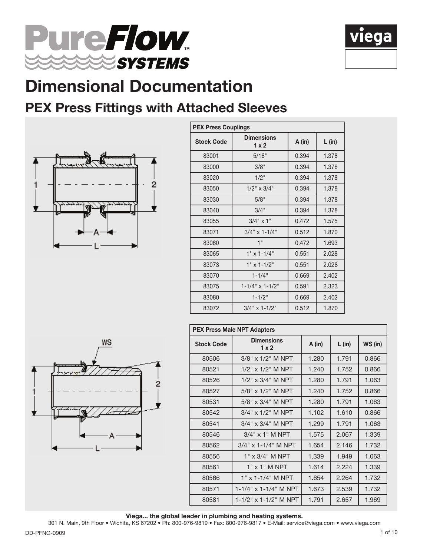



### PEX Press Fittings with Attached Sleeves



| <b>PEX Press Couplings</b> |                           |        |          |  |  |
|----------------------------|---------------------------|--------|----------|--|--|
| <b>Stock Code</b>          | <b>Dimensions</b><br>1x2  | A (in) | $L$ (in) |  |  |
| 83001                      | 5/16"                     | 0.394  | 1.378    |  |  |
| 83000                      | 3/8"                      | 0.394  | 1.378    |  |  |
| 83020                      | 1/2"                      | 0.394  | 1.378    |  |  |
| 83050                      | $1/2$ " x $3/4$ "         | 0.394  | 1.378    |  |  |
| 83030                      | 5/8"                      | 0.394  | 1.378    |  |  |
| 83040                      | 3/4"                      | 0.394  | 1.378    |  |  |
| 83055                      | $3/4$ " x 1"              | 0.472  | 1.575    |  |  |
| 83071                      | $3/4"$ x 1-1/4"           | 0.512  | 1.870    |  |  |
| 83060                      | 1"                        | 0.472  | 1.693    |  |  |
| 83065                      | $1" \times 1 - 1/4"$      | 0.551  | 2.028    |  |  |
| 83073                      | $1" \times 1 - 1/2"$      | 0.551  | 2.028    |  |  |
| 83070                      | $1 - 1/4$ "               | 0.669  | 2.402    |  |  |
| 83075                      | $1 - 1/4$ " x $1 - 1/2$ " | 0.591  | 2.323    |  |  |
| 83080                      | $1 - 1/2$ "               | 0.669  | 2.402    |  |  |
| 83072                      | $3/4$ " x 1-1/2"          | 0.512  | 1.870    |  |  |



| <b>PEX Press Male NPT Adapters</b> |                                 |       |          |         |  |  |
|------------------------------------|---------------------------------|-------|----------|---------|--|--|
| <b>Stock Code</b>                  | <b>Dimensions</b><br>1x2        |       | $L$ (in) | WS (in) |  |  |
| 80506                              | $3/8" \times 1/2"$ M NPT        | 1.280 | 1.791    | 0.866   |  |  |
| 80521                              | $1/2$ " x $1/2$ " M NPT         | 1.240 | 1.752    | 0.866   |  |  |
| 80526                              | $1/2$ " x $3/4$ " M NPT         | 1.280 | 1.791    | 1.063   |  |  |
| 80527                              | $5/8" \times 1/2"$ M NPT        | 1.240 | 1.752    | 0.866   |  |  |
| 80531                              | $5/8" \times 3/4"$ M NPT        | 1.280 | 1.791    | 1.063   |  |  |
| 80542                              | 3/4" x 1/2" M NPT               | 1.102 | 1.610    | 0.866   |  |  |
| 80541                              | $3/4$ " x $3/4$ " M NPT         | 1.299 | 1.791    | 1.063   |  |  |
| 80546                              | $3/4$ " x 1" M NPT              | 1.575 | 2.067    | 1.339   |  |  |
| 80562                              | 3/4" x 1-1/4" M NPT             | 1.654 | 2.146    | 1.732   |  |  |
| 80556                              | $1" \times 3/4"$ M NPT          | 1.339 | 1.949    | 1.063   |  |  |
| 80561                              | $1"$ x $1"$ M NPT               | 1.614 | 2.224    | 1.339   |  |  |
| 80566                              | 1" x 1-1/4" M NPT               | 1.654 | 2.264    | 1.732   |  |  |
| 80571                              | $1 - 1/4$ " x $1 - 1/4$ " M NPT | 1.673 | 2.539    | 1.732   |  |  |
| 80581                              | $1 - 1/2$ " x $1 - 1/2$ " M NPT | 1.791 | 2.657    | 1.969   |  |  |

Viega... the global leader in plumbing and heating systems.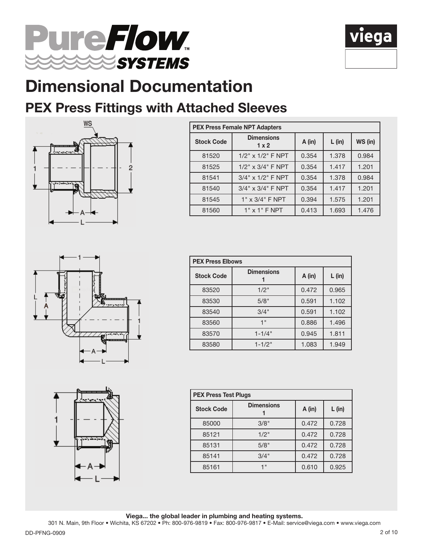



### PEX Press Fittings with Attached Sleeves



| <b>PEX Press Female NPT Adapters</b> |                          |        |          |         |  |
|--------------------------------------|--------------------------|--------|----------|---------|--|
| <b>Stock Code</b>                    | <b>Dimensions</b><br>1x2 | A (in) | $L$ (in) | WS (in) |  |
| 81520                                | $1/2$ " x $1/2$ " F NPT  | 0.354  | 1.378    | 0.984   |  |
| 81525                                | $1/2$ " x $3/4$ " F NPT  | 0.354  | 1.417    | 1.201   |  |
| 81541                                | $3/4$ " x $1/2$ " F NPT  | 0.354  | 1.378    | 0.984   |  |
| 81540                                | $3/4$ " x $3/4$ " F NPT  | 0.354  | 1.417    | 1.201   |  |
| 81545                                | $1" \times 3/4"$ F NPT   | 0.394  | 1.575    | 1.201   |  |
| 81560                                | $1"$ x $1"$ F NPT        | 0.413  | 1.693    | 1.476   |  |





| <b>PEX Press Elbows</b> |                   |        |          |  |  |
|-------------------------|-------------------|--------|----------|--|--|
| <b>Stock Code</b>       | <b>Dimensions</b> | A (in) | $L$ (in) |  |  |
| 83520                   | $1/2$ "           | 0.472  | 0.965    |  |  |
| 83530                   | 5/8"              | 0.591  | 1.102    |  |  |
| 83540                   | 3/4"              | 0.591  | 1.102    |  |  |
| 83560                   | 1"                | 0.886  | 1.496    |  |  |
| 83570                   | $1 - 1/4$ "       | 0.945  | 1.811    |  |  |
| 83580                   | $1 - 1/2$ "       | 1.083  | 1.949    |  |  |

| <b>PEX Press Test Plugs</b> |                   |        |          |  |  |
|-----------------------------|-------------------|--------|----------|--|--|
| <b>Stock Code</b>           | <b>Dimensions</b> | A (in) | $L$ (in) |  |  |
| 85000                       | 3/8"              | 0.472  | 0.728    |  |  |
| 85121                       | $1/2$ "           | 0.472  | 0.728    |  |  |
| 85131                       | 5/8"              | 0.472  | 0.728    |  |  |
| 85141                       | 3/4"              | 0.472  | 0.728    |  |  |
| 85161                       | 4 II              | 0.610  | 0.925    |  |  |

Viega... the global leader in plumbing and heating systems.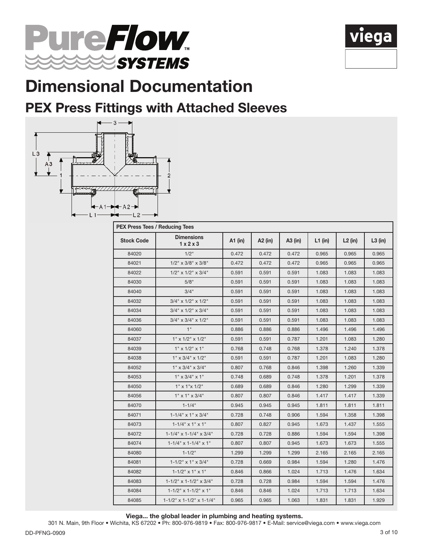



#### PEX Press Fittings with Attached Sleeves



| <b>PEX Press Tees / Reducing Tees</b> |                                     |         |         |         |           |           |           |
|---------------------------------------|-------------------------------------|---------|---------|---------|-----------|-----------|-----------|
| <b>Stock Code</b>                     | <b>Dimensions</b><br>1x2x3          | A1 (in) | A2 (in) | A3 (in) | $L1$ (in) | $L2$ (in) | $L3$ (in) |
| 84020                                 | 1/2"                                | 0.472   | 0.472   | 0.472   | 0.965     | 0.965     | 0.965     |
| 84021                                 | $1/2$ " x $3/8$ " x $3/8$ "         | 0.472   | 0.472   | 0.472   | 0.965     | 0.965     | 0.965     |
| 84022                                 | $1/2$ " x $1/2$ " x $3/4$ "         | 0.591   | 0.591   | 0.591   | 1.083     | 1.083     | 1.083     |
| 84030                                 | 5/8"                                | 0.591   | 0.591   | 0.591   | 1.083     | 1.083     | 1.083     |
| 84040                                 | 3/4"                                | 0.591   | 0.591   | 0.591   | 1.083     | 1.083     | 1.083     |
| 84032                                 | $3/4$ " x $1/2$ " x $1/2$ "         | 0.591   | 0.591   | 0.591   | 1.083     | 1.083     | 1.083     |
| 84034                                 | 3/4" x 1/2" x 3/4"                  | 0.591   | 0.591   | 0.591   | 1.083     | 1.083     | 1.083     |
| 84036                                 | $3/4$ " x $3/4$ " x $1/2$ "         | 0.591   | 0.591   | 0.591   | 1.083     | 1.083     | 1.083     |
| 84060                                 | 1"                                  | 0.886   | 0.886   | 0.886   | 1.496     | 1.496     | 1.496     |
| 84037                                 | $1" \times 1/2" \times 1/2"$        | 0.591   | 0.591   | 0.787   | 1.201     | 1.083     | 1.280     |
| 84039                                 | $1" \times 1/2" \times 1"$          | 0.768   | 0.748   | 0.768   | 1.378     | 1.240     | 1.378     |
| 84038                                 | $1" \times 3/4" \times 1/2"$        | 0.591   | 0.591   | 0.787   | 1.201     | 1.083     | 1.280     |
| 84052                                 | $1" \times 3/4" \times 3/4"$        | 0.807   | 0.768   | 0.846   | 1.398     | 1.260     | 1.339     |
| 84053                                 | $1" \times 3/4" \times 1"$          | 0.748   | 0.689   | 0.748   | 1.378     | 1.201     | 1.378     |
| 84050                                 | $1" \times 1" \times 1/2"$          | 0.689   | 0.689   | 0.846   | 1.280     | 1.299     | 1.339     |
| 84056                                 | $1" \times 1" \times 3/4"$          | 0.807   | 0.807   | 0.846   | 1.417     | 1.417     | 1.339     |
| 84070                                 | $1 - 1/4"$                          | 0.945   | 0.945   | 0.945   | 1.811     | 1.811     | 1.811     |
| 84071                                 | $1 - 1/4$ " x $1$ " x $3/4$ "       | 0.728   | 0.748   | 0.906   | 1.594     | 1.358     | 1.398     |
| 84073                                 | $1 - 1/4$ " x $1$ " x $1$ "         | 0.807   | 0.827   | 0.945   | 1.673     | 1.437     | 1.555     |
| 84072                                 | $1-1/4$ " x $1-1/4$ " x $3/4$ "     | 0.728   | 0.728   | 0.886   | 1.594     | 1.594     | 1.398     |
| 84074                                 | $1 - 1/4$ " x $1 - 1/4$ " x $1$ "   | 0.807   | 0.807   | 0.945   | 1.673     | 1.673     | 1.555     |
| 84080                                 | $1 - 1/2$ "                         | 1.299   | 1.299   | 1.299   | 2.165     | 2.165     | 2.165     |
| 84081                                 | $1 - 1/2$ " x $1$ " x $3/4$ "       | 0.728   | 0.669   | 0.984   | 1.594     | 1.280     | 1.476     |
| 84082                                 | $1 - 1/2$ " x $1$ " x $1$ "         | 0.846   | 0.866   | 1.024   | 1.713     | 1.476     | 1.634     |
| 84083                                 | $1 - 1/2$ " x $1 - 1/2$ " x $3/4$ " | 0.728   | 0.728   | 0.984   | 1.594     | 1.594     | 1.476     |
| 84084                                 | $1 - 1/2$ " x $1 - 1/2$ " x $1$ "   | 0.846   | 0.846   | 1.024   | 1.713     | 1.713     | 1.634     |
| 84085                                 | 1-1/2" x 1-1/2" x 1-1/4"            | 0.965   | 0.965   | 1.063   | 1.831     | 1.831     | 1.929     |

Viega... the global leader in plumbing and heating systems.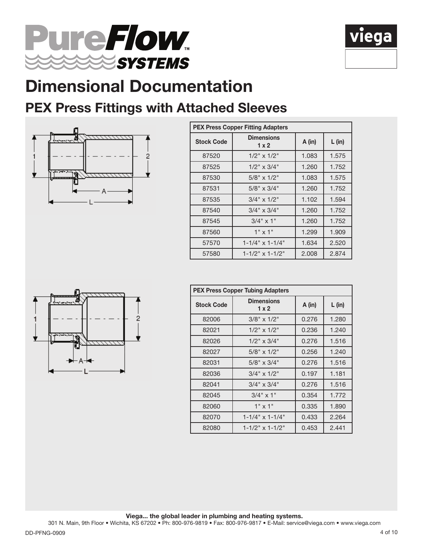



### PEX Press Fittings with Attached Sleeves



|                   | <b>PEX Press Copper Fitting Adapters</b> |        |          |  |  |  |
|-------------------|------------------------------------------|--------|----------|--|--|--|
| <b>Stock Code</b> | <b>Dimensions</b><br>1x2                 | A (in) | $L$ (in) |  |  |  |
| 87520             | $1/2$ " x $1/2$ "                        | 1.083  | 1.575    |  |  |  |
| 87525             | $1/2$ " x $3/4$ "                        | 1.260  | 1.752    |  |  |  |
| 87530             | $5/8" \times 1/2"$                       | 1.083  | 1.575    |  |  |  |
| 87531             | $5/8" \times 3/4"$                       | 1.260  | 1.752    |  |  |  |
| 87535             | $3/4$ " x $1/2$ "                        | 1.102  | 1.594    |  |  |  |
| 87540             | $3/4" \times 3/4"$                       | 1.260  | 1.752    |  |  |  |
| 87545             | $3/4$ " x 1"                             | 1.260  | 1.752    |  |  |  |
| 87560             | $1" \times 1"$                           | 1.299  | 1.909    |  |  |  |
| 57570             | $1 - 1/4$ " x $1 - 1/4$ "                | 1.634  | 2.520    |  |  |  |
| 57580             | $1 - 1/2$ " x $1 - 1/2$ "                | 2.008  | 2.874    |  |  |  |



| <b>PEX Press Copper Tubing Adapters</b> |                           |        |          |  |  |  |
|-----------------------------------------|---------------------------|--------|----------|--|--|--|
| <b>Stock Code</b>                       | <b>Dimensions</b><br>1x2  | A (in) | $L$ (in) |  |  |  |
| 82006                                   | $3/8" \times 1/2"$        | 0.276  | 1.280    |  |  |  |
| 82021                                   | $1/2$ " x $1/2$ "         | 0.236  | 1.240    |  |  |  |
| 82026                                   | $1/2$ " x $3/4$ "         | 0.276  | 1.516    |  |  |  |
| 82027                                   | $5/8" \times 1/2"$        | 0.256  | 1.240    |  |  |  |
| 82031                                   | $5/8" \times 3/4"$        | 0.276  | 1.516    |  |  |  |
| 82036                                   | $3/4$ " x $1/2$ "         | 0.197  | 1.181    |  |  |  |
| 82041                                   | $3/4$ " x $3/4$ "         | 0.276  | 1.516    |  |  |  |
| 82045                                   | $3/4$ " x 1"              | 0.354  | 1.772    |  |  |  |
| 82060                                   | $1" \times 1"$            | 0.335  | 1.890    |  |  |  |
| 82070                                   | $1 - 1/4$ " x $1 - 1/4$ " | 0.433  | 2.264    |  |  |  |
| 82080                                   | $1 - 1/2$ " x $1 - 1/2$ " | 0.453  | 2.441    |  |  |  |

Viega... the global leader in plumbing and heating systems.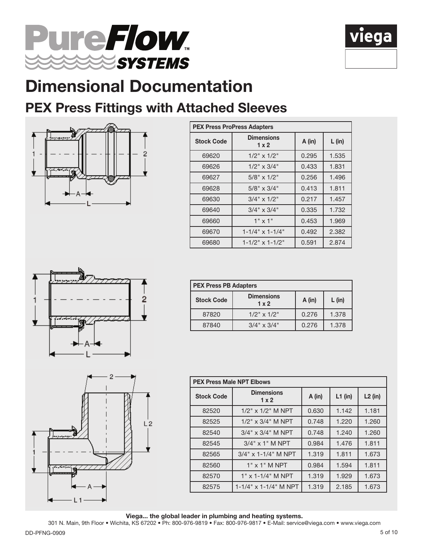



### PEX Press Fittings with Attached Sleeves



| <b>PEX Press ProPress Adapters</b> |                           |        |          |  |  |
|------------------------------------|---------------------------|--------|----------|--|--|
| <b>Stock Code</b>                  | <b>Dimensions</b><br>1x2  | A (in) | $L$ (in) |  |  |
| 69620                              | $1/2$ " x $1/2$ "         | 0.295  | 1.535    |  |  |
| 69626                              | $1/2$ " x $3/4$ "         | 0.433  | 1.831    |  |  |
| 69627                              | $5/8" \times 1/2"$        | 0.256  | 1.496    |  |  |
| 69628                              | $5/8" \times 3/4"$        | 0.413  | 1.811    |  |  |
| 69630                              | $3/4$ " x $1/2$ "         | 0.217  | 1.457    |  |  |
| 69640                              | $3/4" \times 3/4"$        | 0.335  | 1.732    |  |  |
| 69660                              | $1" \times 1"$            | 0.453  | 1.969    |  |  |
| 69670                              | $1 - 1/4$ " x $1 - 1/4$ " | 0.492  | 2.382    |  |  |
| 69680                              | $1 - 1/2$ " x $1 - 1/2$ " | 0.591  | 2.874    |  |  |



| <b>PEX Press PB Adapters</b> |                                   |       |          |
|------------------------------|-----------------------------------|-------|----------|
| <b>Stock Code</b>            | <b>Dimensions</b><br>$1 \times 2$ |       | $L$ (in) |
| 87820                        | $1/2$ " x $1/2$ "                 | 0.276 | 1.378    |
| 87840                        | $3/4$ " x $3/4$ "                 | 0.276 | 1.378    |



| <b>PEX Press Male NPT Elbows</b> |                                   |          |           |           |  |
|----------------------------------|-----------------------------------|----------|-----------|-----------|--|
| <b>Stock Code</b>                | <b>Dimensions</b><br>$1 \times 2$ | $A$ (in) | $L1$ (in) | $L2$ (in) |  |
| 82520                            | $1/2$ " x $1/2$ " M NPT           | 0.630    | 1.142     | 1.181     |  |
| 82525                            | $1/2$ " x $3/4$ " M NPT           | 0.748    | 1.220     | 1.260     |  |
| 82540                            | $3/4$ " x $3/4$ " M NPT           | 0.748    | 1.240     | 1.260     |  |
| 82545                            | $3/4$ " x 1" M NPT                | 0.984    | 1.476     | 1.811     |  |
| 82565                            | $3/4$ " x 1-1/4" M NPT            | 1.319    | 1.811     | 1.673     |  |
| 82560                            | $1"$ x $1"$ M NPT                 | 0.984    | 1.594     | 1.811     |  |
| 82570                            | $1"$ x 1-1/4" M NPT               | 1.319    | 1.929     | 1.673     |  |
| 82575                            | 1-1/4" x 1-1/4" M NPT             | 1.319    | 2.185     | 1.673     |  |

Viega... the global leader in plumbing and heating systems.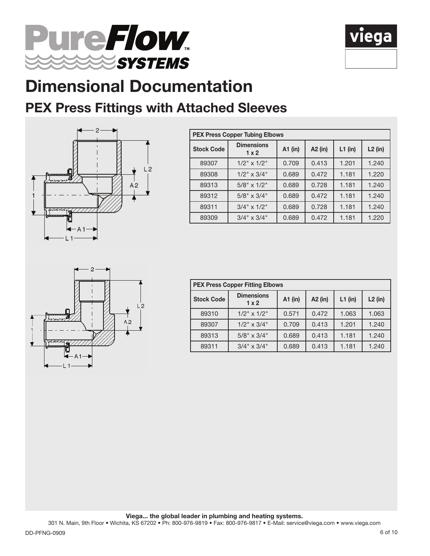



### PEX Press Fittings with Attached Sleeves



| <b>PEX Press Copper Tubing Elbows</b> |                                   |           |         |           |           |  |
|---------------------------------------|-----------------------------------|-----------|---------|-----------|-----------|--|
| <b>Stock Code</b>                     | <b>Dimensions</b><br>$1 \times 2$ | $A1$ (in) | A2 (in) | $L1$ (in) | $L2$ (in) |  |
| 89307                                 | $1/2$ " x $1/2$ "                 | 0.709     | 0.413   | 1.201     | 1.240     |  |
| 89308                                 | $1/2$ " x $3/4$ "                 | 0.689     | 0.472   | 1.181     | 1.220     |  |
| 89313                                 | $5/8" \times 1/2"$                | 0.689     | 0.728   | 1.181     | 1.240     |  |
| 89312                                 | $5/8" \times 3/4"$                | 0.689     | 0.472   | 1.181     | 1.240     |  |
| 89311                                 | $3/4$ " x $1/2$ "                 | 0.689     | 0.728   | 1.181     | 1.240     |  |
| 89309                                 | $3/4$ " x $3/4$ "                 | 0.689     | 0.472   | 1.181     | 1.220     |  |



| <b>PEX Press Copper Fitting Elbows</b> |                          |         |         |           |           |  |  |  |  |  |
|----------------------------------------|--------------------------|---------|---------|-----------|-----------|--|--|--|--|--|
| <b>Stock Code</b>                      | <b>Dimensions</b><br>1x2 | A1 (in) | A2 (in) | $L1$ (in) | $L2$ (in) |  |  |  |  |  |
| 89310                                  | $1/2$ " x $1/2$ "        | 0.571   | 0.472   | 1.063     | 1.063     |  |  |  |  |  |
| 89307                                  | $1/2$ " x $3/4$ "        | 0.709   | 0.413   | 1.201     | 1.240     |  |  |  |  |  |
| 89313                                  | $5/8" \times 3/4"$       | 0.689   | 0.413   | 1.181     | 1.240     |  |  |  |  |  |
| 89311                                  | $3/4$ " x $3/4$ "        | 0.689   | 0.413   | 1.181     | 1.240     |  |  |  |  |  |

Viega... the global leader in plumbing and heating systems.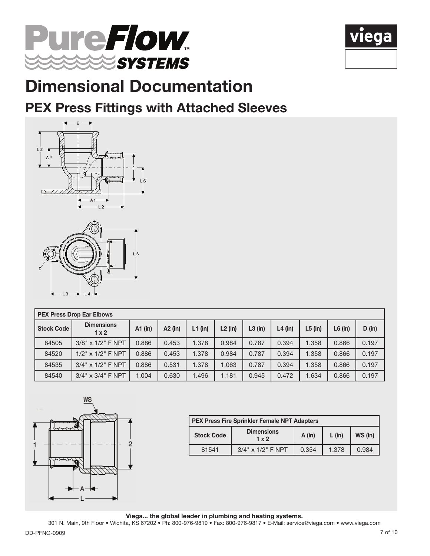



#### PEX Press Fittings with Attached Sleeves





|                   | <b>PEX Press Drop Ear Elbows</b>  |         |         |           |           |           |           |           |           |        |  |  |
|-------------------|-----------------------------------|---------|---------|-----------|-----------|-----------|-----------|-----------|-----------|--------|--|--|
| <b>Stock Code</b> | <b>Dimensions</b><br>$1 \times 2$ | A1 (in) | A2 (in) | $L1$ (in) | $L2$ (in) | $L3$ (in) | $L4$ (in) | $L5$ (in) | $L6$ (in) | D (in) |  |  |
| 84505             | $3/8" \times 1/2"$ F NPT          | 0.886   | 0.453   | 1.378     | 0.984     | 0.787     | 0.394     | 1.358     | 0.866     | 0.197  |  |  |
| 84520             | $1/2$ " x $1/2$ " F NPT           | 0.886   | 0.453   | 1.378     | 0.984     | 0.787     | 0.394     | 1.358     | 0.866     | 0.197  |  |  |
| 84535             | $3/4$ " x $1/2$ " F NPT           | 0.886   | 0.531   | 1.378     | 1.063     | 0.787     | 0.394     | 1.358     | 0.866     | 0.197  |  |  |
| 84540             | $3/4$ " x $3/4$ " F NPT           | 1.004   | 0.630   | 1.496     | 1.181     | 0.945     | 0.472     | 1.634     | 0.866     | 0.197  |  |  |



| <b>PEX Press Fire Sprinkler Female NPT Adapters</b>                              |                         |       |       |       |  |  |  |  |  |
|----------------------------------------------------------------------------------|-------------------------|-------|-------|-------|--|--|--|--|--|
| <b>Dimensions</b><br><b>Stock Code</b><br>WS (in)<br>$A$ (in)<br>$L$ (in)<br>1x2 |                         |       |       |       |  |  |  |  |  |
| 81541                                                                            | $3/4$ " x $1/2$ " F NPT | 0.354 | 1.378 | 0.984 |  |  |  |  |  |

Viega... the global leader in plumbing and heating systems.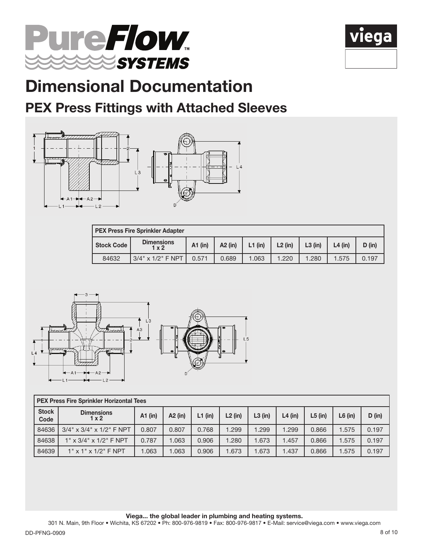



### PEX Press Fittings with Attached Sleeves



| <b>PEX Press Fire Sprinkler Adapter</b>                                                                                                 |                         |       |       |       |       |       |       |       |  |  |  |
|-----------------------------------------------------------------------------------------------------------------------------------------|-------------------------|-------|-------|-------|-------|-------|-------|-------|--|--|--|
| <b>Dimensions</b><br>$L1$ (in)<br><b>Stock Code</b><br>$A2$ (in)<br>$L2$ (in)<br>$L3$ (in)<br>$A1$ (in)<br>$L4$ (in)<br>D (in)<br>1 x 2 |                         |       |       |       |       |       |       |       |  |  |  |
| 84632                                                                                                                                   | $3/4$ " x $1/2$ " F NPT | 0.571 | 0.689 | 1.063 | 1.220 | 1.280 | 1.575 | 0.197 |  |  |  |



|                      | <b>PEX Press Fire Sprinkler Horizontal Tees</b> |         |         |           |           |           |           |           |           |        |  |  |
|----------------------|-------------------------------------------------|---------|---------|-----------|-----------|-----------|-----------|-----------|-----------|--------|--|--|
| <b>Stock</b><br>Code | <b>Dimensions</b><br>$1 \times 2$               | A1 (in) | A2 (in) | $L1$ (in) | $L2$ (in) | $L3$ (in) | $L4$ (in) | $L5$ (in) | $L6$ (in) | D (in) |  |  |
| 84636                | $3/4$ " x $3/4$ " x $1/2$ " F NPT               | 0.807   | 0.807   | 0.768     | 1.299     | 1.299     | .299      | 0.866     | .575      | 0.197  |  |  |
| 84638                | $1" \times 3/4" \times 1/2"$ F NPT              | 0.787   | 1.063   | 0.906     | 1.280     | 1.673     | .457      | 0.866     | .575      | 0.197  |  |  |
| 84639                | $1"$ x $1"$ x $1/2"$ F NPT                      | 1.063   | 1.063   | 0.906     | 1.673     | 1.673     | .437      | 0.866     | .575      | 0.197  |  |  |

Viega... the global leader in plumbing and heating systems.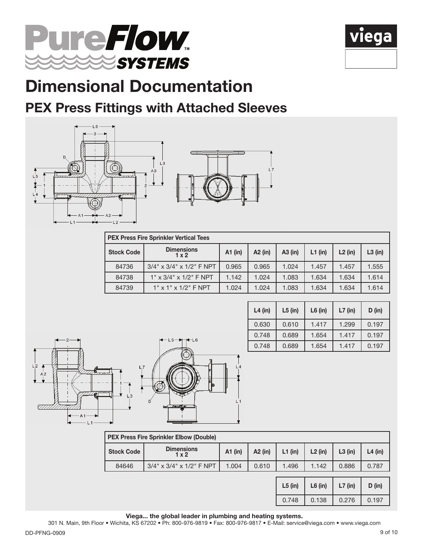



### PEX Press Fittings with Attached Sleeves





|                   | <b>PEX Press Fire Sprinkler Vertical Tees</b> |       |         |         |           |           |           |  |  |  |  |  |
|-------------------|-----------------------------------------------|-------|---------|---------|-----------|-----------|-----------|--|--|--|--|--|
| <b>Stock Code</b> | <b>Dimensions</b><br>1x2                      |       | A2 (in) | A3 (in) | $L1$ (in) | $L2$ (in) | $L3$ (in) |  |  |  |  |  |
| 84736             | $3/4$ " x $3/4$ " x $1/2$ " F NPT             | 0.965 | 0.965   | 1.024   | 1.457     | 1.457     | 1.555     |  |  |  |  |  |
| 84738             | $1" \times 3/4" \times 1/2"$ F NPT            | 1.142 | 1.024   | 1.083   | 1.634     | 1.634     | 1.614     |  |  |  |  |  |
| 84739             | $1"$ x $1"$ x $1/2"$ F NPT                    | 1.024 | 1.024   | 1.083   | 1.634     | 1.634     | 1.614     |  |  |  |  |  |



| $L4$ (in) | $L5$ (in) | $L6$ (in) | $L7$ (in) | D (in) |
|-----------|-----------|-----------|-----------|--------|
| 0.630     | 0.610     | 1.417     | 1.299     | 0.197  |
| 0.748     | 0.689     | 1.654     | 1.417     | 0.197  |
| 0.748     | 0.689     | 1.654     | 1.417     | 0.197  |

| <b>Stock Code</b> | <b>Dimensions</b><br>1x2          | $A1$ (in) | $A2$ (in) | $L1$ (in) | $L2$ (in) | $L3$ (in) | $L4$ (in) |
|-------------------|-----------------------------------|-----------|-----------|-----------|-----------|-----------|-----------|
| 84646             | $3/4$ " x $3/4$ " x $1/2$ " F NPT | 1.496     | 1.142     | 0.886     | 0.787     |           |           |
|                   |                                   |           |           | $L5$ (in) | $L6$ (in) | $L7$ (in) | D (in)    |
|                   |                                   |           |           | 0.748     | 0.138     | 0.276     | 0.197     |

Viega... the global leader in plumbing and heating systems.